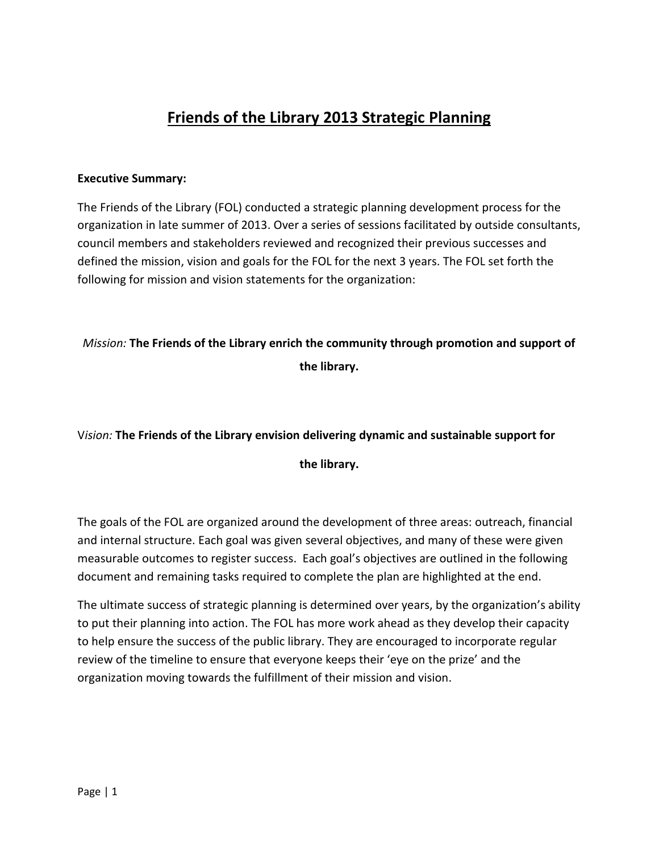## **Friends of the Library 2013 Strategic Planning**

### **Executive Summary:**

The Friends of the Library (FOL) conducted a strategic planning development process for the organization in late summer of 2013. Over a series of sessions facilitated by outside consultants, council members and stakeholders reviewed and recognized their previous successes and defined the mission, vision and goals for the FOL for the next 3 years. The FOL set forth the following for mission and vision statements for the organization:

### *Mission:* **The Friends of the Library enrich the community through promotion and support of the library.**

### V*ision:* **The Friends of the Library envision delivering dynamic and sustainable support for**

### **the library.**

The goals of the FOL are organized around the development of three areas: outreach, financial and internal structure. Each goal was given several objectives, and many of these were given measurable outcomes to register success. Each goal's objectives are outlined in the following document and remaining tasks required to complete the plan are highlighted at the end.

The ultimate success of strategic planning is determined over years, by the organization's ability to put their planning into action. The FOL has more work ahead as they develop their capacity to help ensure the success of the public library. They are encouraged to incorporate regular review of the timeline to ensure that everyone keeps their 'eye on the prize' and the organization moving towards the fulfillment of their mission and vision.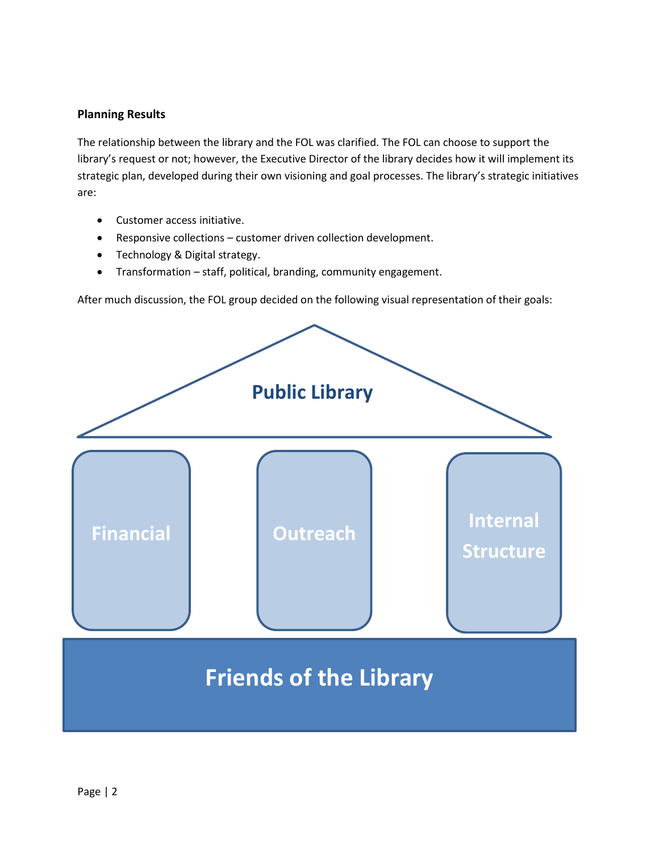### **Planning Results**

The relationship between the library and the FOL was clarified. The FOL can choose to support the library's request or not; however, the Executive Director of the library decides how it will implement its strategic plan, developed during their own visioning and goal processes. The library's strategic initiatives are:

- Customer access initiative.
- Responsive collections customer driven collection development.
- Technology & Digital strategy.
- Transformation staff, political, branding, community engagement.

After much discussion, the FOL group decided on the following visual representation of their goals:

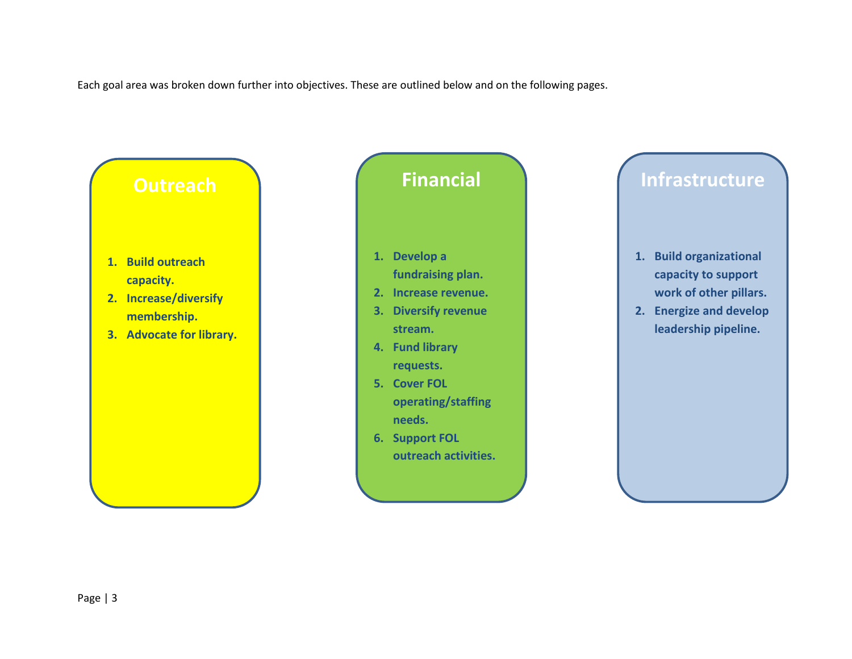Each goal area was broken down further into objectives. These are outlined below and on the following pages.

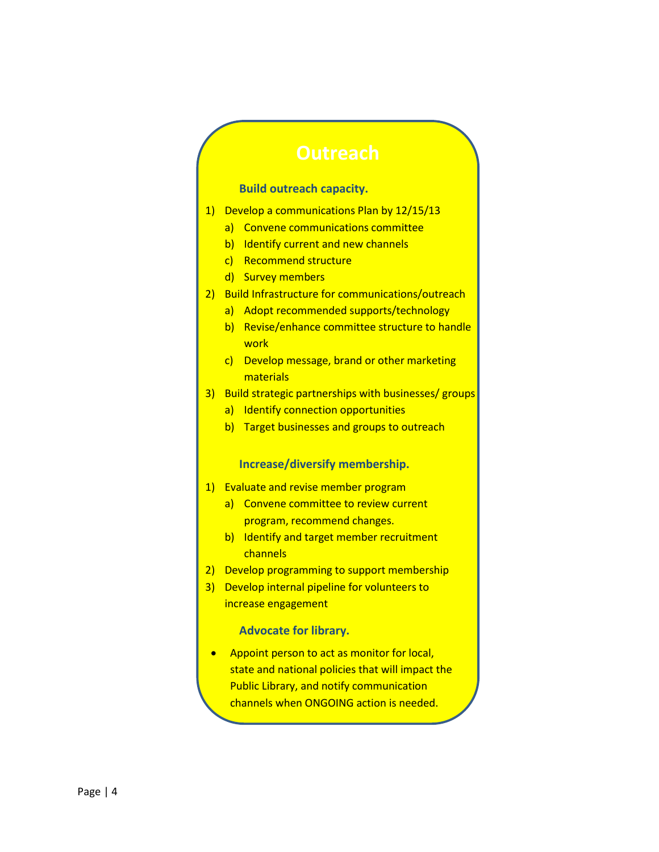#### **Build outreach capacity.**

- 1) Develop a communications Plan by 12/15/13
	- a) Convene communications committee
	- b) Identify current and new channels
	- c) Recommend structure
	- d) Survey members
- 2) Build Infrastructure for communications/outreach
	- a) Adopt recommended supports/technology
	- b) Revise/enhance committee structure to handle **work**
	- c) Develop message, brand or other marketing materials
- 3) Build strategic partnerships with businesses/ groups
	- a) Identify connection opportunities
	- b) Target businesses and groups to outreach

#### **Increase/diversify membership.**

- 1) Evaluate and revise member program
	- a) Convene committee to review current program, recommend changes.
	- b) Identify and target member recruitment channels
- 2) Develop programming to support membership
- 3) Develop internal pipeline for volunteers to increase engagement

#### **Advocate for library.**

• Appoint person to act as monitor for local, state and national policies that will impact the Public Library, and notify communication channels when ONGOING action is needed.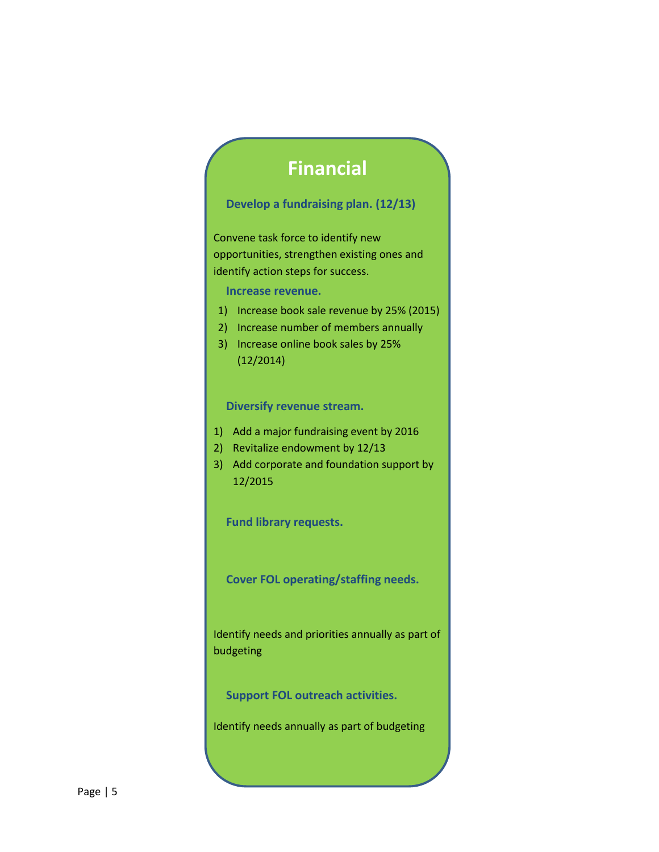# **Financial**

### **Develop a fundraising plan. (12/13)**

Convene task force to identify new opportunities, strengthen existing ones and identify action steps for success.

**Increase revenue.**

- 1) Increase book sale revenue by 25% (2015)
- 2) Increase number of members annually
- 3) Increase online book sales by 25% (12/2014)

**Diversify revenue stream.**

- 1) Add a major fundraising event by 2016
- 2) Revitalize endowment by 12/13
- 3) Add corporate and foundation support by 12/2015

**Fund library requests.**

**Cover FOL operating/staffing needs.**

Identify needs and priorities annually as part of budgeting

**Support FOL outreach activities.**

Identify needs annually as part of budgeting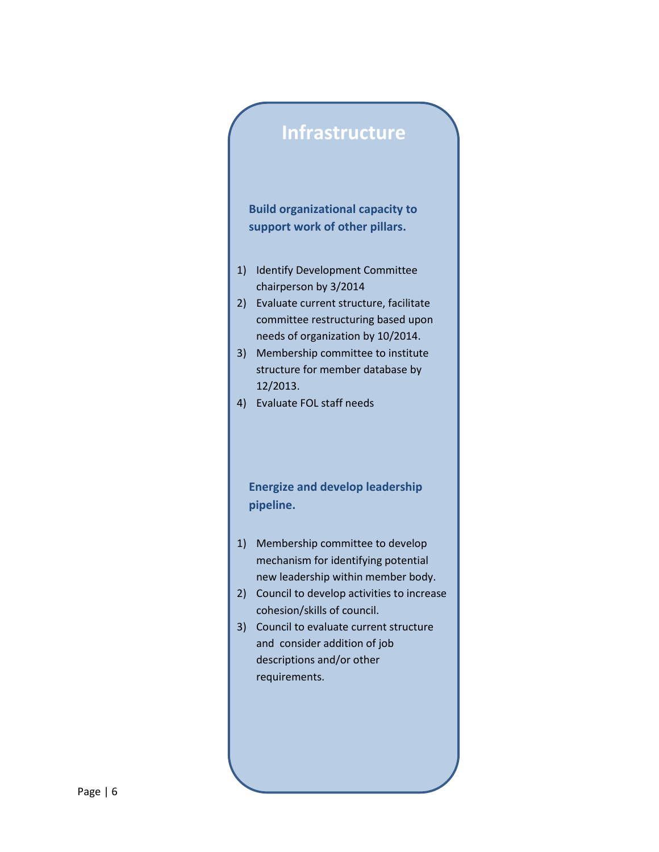# **Infrastructure**

**Build organizational capacity to support work of other pillars.**

- 1) Identify Development Committee chairperson by 3/2014
- 2) Evaluate current structure, facilitate committee restructuring based upon needs of organization by 10/2014.
- 3) Membership committee to institute structure for member database by 12/2013.
- 4) Evaluate FOL staff needs

**Energize and develop leadership pipeline.**

- 1) Membership committee to develop mechanism for identifying potential new leadership within member body.
- 2) Council to develop activities to increase cohesion/skills of council.
- 3) Council to evaluate current structure and consider addition of job descriptions and/or other requirements.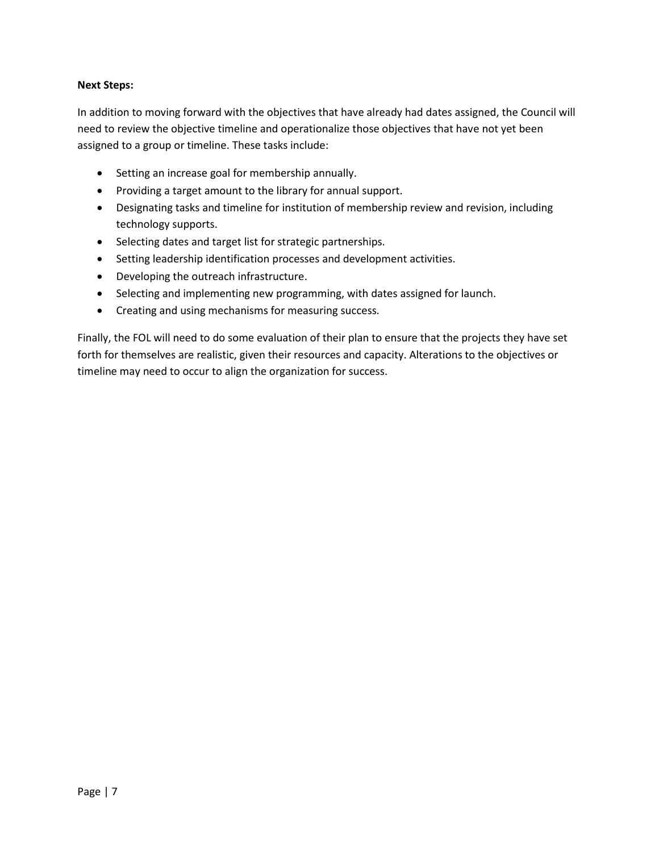### **Next Steps:**

In addition to moving forward with the objectives that have already had dates assigned, the Council will need to review the objective timeline and operationalize those objectives that have not yet been assigned to a group or timeline. These tasks include:

- Setting an increase goal for membership annually.
- Providing a target amount to the library for annual support.
- Designating tasks and timeline for institution of membership review and revision, including technology supports.
- Selecting dates and target list for strategic partnerships.
- Setting leadership identification processes and development activities.
- Developing the outreach infrastructure.
- Selecting and implementing new programming, with dates assigned for launch.
- Creating and using mechanisms for measuring success.

Finally, the FOL will need to do some evaluation of their plan to ensure that the projects they have set forth for themselves are realistic, given their resources and capacity. Alterations to the objectives or timeline may need to occur to align the organization for success.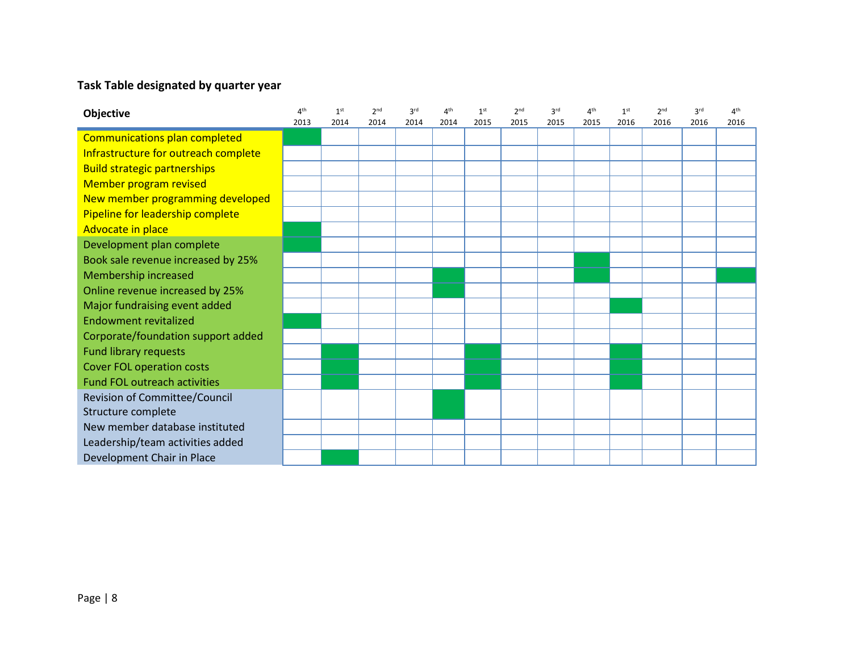### **Task Table designated by quarter year**

| Objective                            | 4 <sup>th</sup> | 1 <sup>st</sup> | 2 <sub>nd</sub> | 3 <sup>rd</sup> | 4 <sup>th</sup> | 1 <sup>st</sup> | 2 <sub>nd</sub> | 3 <sup>rd</sup> | 4 <sup>th</sup> | 1 <sup>st</sup> | 2 <sub>nd</sub> | 3 <sup>rd</sup> | 4 <sup>th</sup> |
|--------------------------------------|-----------------|-----------------|-----------------|-----------------|-----------------|-----------------|-----------------|-----------------|-----------------|-----------------|-----------------|-----------------|-----------------|
|                                      | 2013            | 2014            | 2014            | 2014            | 2014            | 2015            | 2015            | 2015            | 2015            | 2016            | 2016            | 2016            | 2016            |
| Communications plan completed        |                 |                 |                 |                 |                 |                 |                 |                 |                 |                 |                 |                 |                 |
| Infrastructure for outreach complete |                 |                 |                 |                 |                 |                 |                 |                 |                 |                 |                 |                 |                 |
| <b>Build strategic partnerships</b>  |                 |                 |                 |                 |                 |                 |                 |                 |                 |                 |                 |                 |                 |
| Member program revised               |                 |                 |                 |                 |                 |                 |                 |                 |                 |                 |                 |                 |                 |
| New member programming developed     |                 |                 |                 |                 |                 |                 |                 |                 |                 |                 |                 |                 |                 |
| Pipeline for leadership complete     |                 |                 |                 |                 |                 |                 |                 |                 |                 |                 |                 |                 |                 |
| Advocate in place                    |                 |                 |                 |                 |                 |                 |                 |                 |                 |                 |                 |                 |                 |
| Development plan complete            |                 |                 |                 |                 |                 |                 |                 |                 |                 |                 |                 |                 |                 |
| Book sale revenue increased by 25%   |                 |                 |                 |                 |                 |                 |                 |                 |                 |                 |                 |                 |                 |
| Membership increased                 |                 |                 |                 |                 |                 |                 |                 |                 |                 |                 |                 |                 |                 |
| Online revenue increased by 25%      |                 |                 |                 |                 |                 |                 |                 |                 |                 |                 |                 |                 |                 |
| Major fundraising event added        |                 |                 |                 |                 |                 |                 |                 |                 |                 |                 |                 |                 |                 |
| <b>Endowment revitalized</b>         |                 |                 |                 |                 |                 |                 |                 |                 |                 |                 |                 |                 |                 |
| Corporate/foundation support added   |                 |                 |                 |                 |                 |                 |                 |                 |                 |                 |                 |                 |                 |
| <b>Fund library requests</b>         |                 |                 |                 |                 |                 |                 |                 |                 |                 |                 |                 |                 |                 |
| <b>Cover FOL operation costs</b>     |                 |                 |                 |                 |                 |                 |                 |                 |                 |                 |                 |                 |                 |
| <b>Fund FOL outreach activities</b>  |                 |                 |                 |                 |                 |                 |                 |                 |                 |                 |                 |                 |                 |
| Revision of Committee/Council        |                 |                 |                 |                 |                 |                 |                 |                 |                 |                 |                 |                 |                 |
| Structure complete                   |                 |                 |                 |                 |                 |                 |                 |                 |                 |                 |                 |                 |                 |
| New member database instituted       |                 |                 |                 |                 |                 |                 |                 |                 |                 |                 |                 |                 |                 |
| Leadership/team activities added     |                 |                 |                 |                 |                 |                 |                 |                 |                 |                 |                 |                 |                 |
| Development Chair in Place           |                 |                 |                 |                 |                 |                 |                 |                 |                 |                 |                 |                 |                 |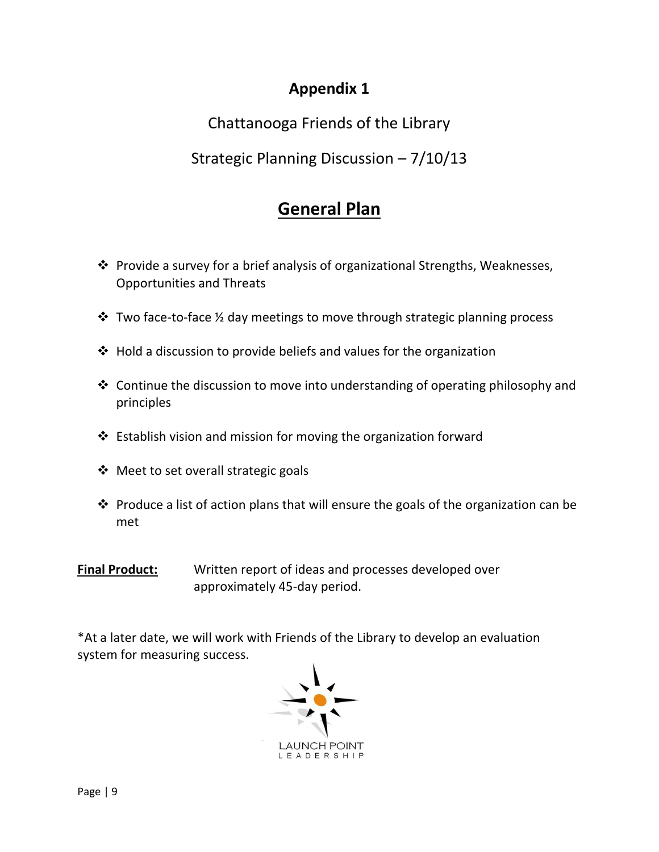# **Appendix 1**

Chattanooga Friends of the Library

Strategic Planning Discussion – 7/10/13

# **General Plan**

- $\cdot$  Provide a survey for a brief analysis of organizational Strengths, Weaknesses, Opportunities and Threats
- $\cdot$  Two face-to-face  $\frac{1}{2}$  day meetings to move through strategic planning process
- $\cdot$  Hold a discussion to provide beliefs and values for the organization
- $\triangle$  Continue the discussion to move into understanding of operating philosophy and principles
- $\triangle$  Establish vision and mission for moving the organization forward
- ❖ Meet to set overall strategic goals
- $\cdot$  Produce a list of action plans that will ensure the goals of the organization can be met
- **Final Product:** Written report of ideas and processes developed over approximately 45-day period.

\*At a later date, we will work with Friends of the Library to develop an evaluation system for measuring success.

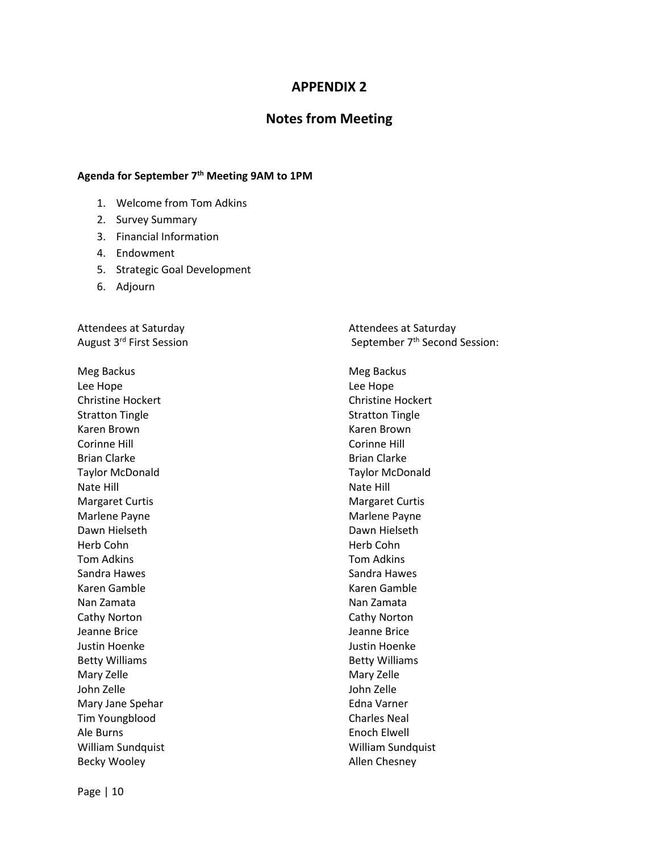### **APPENDIX 2**

### **Notes from Meeting**

#### **Agenda for September 7th Meeting 9AM to 1PM**

- 1. Welcome from Tom Adkins
- 2. Survey Summary
- 3. Financial Information
- 4. Endowment
- 5. Strategic Goal Development
- 6. Adjourn

Attendees at Saturday and Saturday and Saturday and Attendees at Saturday

Meg Backus **Meg Backus** Meg Backus Lee Hope **Lee Hope** Christine Hockert Christine Hockert Stratton Tingle **Stratton Tingle** Karen Brown Karen Brown Corinne Hill Corinne Hill Brian Clarke **Brian Clarke** Brian Clarke Taylor McDonald Taylor McDonald Nate Hill Nate Hill Margaret Curtis **Margaret Curtis** Margaret Curtis Marlene Payne **Marlene Payne** Dawn Hielseth **Dawn Hielseth** Herb Cohn Herb Cohn Tom Adkins Tom Adkins Sandra Hawes **Sandra Hawes** Sandra Hawes Karen Gamble Karen Gamble Nan Zamata Nan Zamata Cathy Norton Cathy Norton Jeanne Brice Jeanne Brice Justin Hoenke Justin Hoenke Betty Williams **Betty Williams** Mary Zelle Mary Zelle John Zelle John Zelle Mary Jane Spehar **Edna Varner** Edna Varner Tim Youngblood Charles Neal Ale Burns **Enoch Elwell** William Sundquist William Sundquist Becky Wooley **Allen Chesney** 

August 3<sup>rd</sup> First Session September 7<sup>th</sup> Second Session: